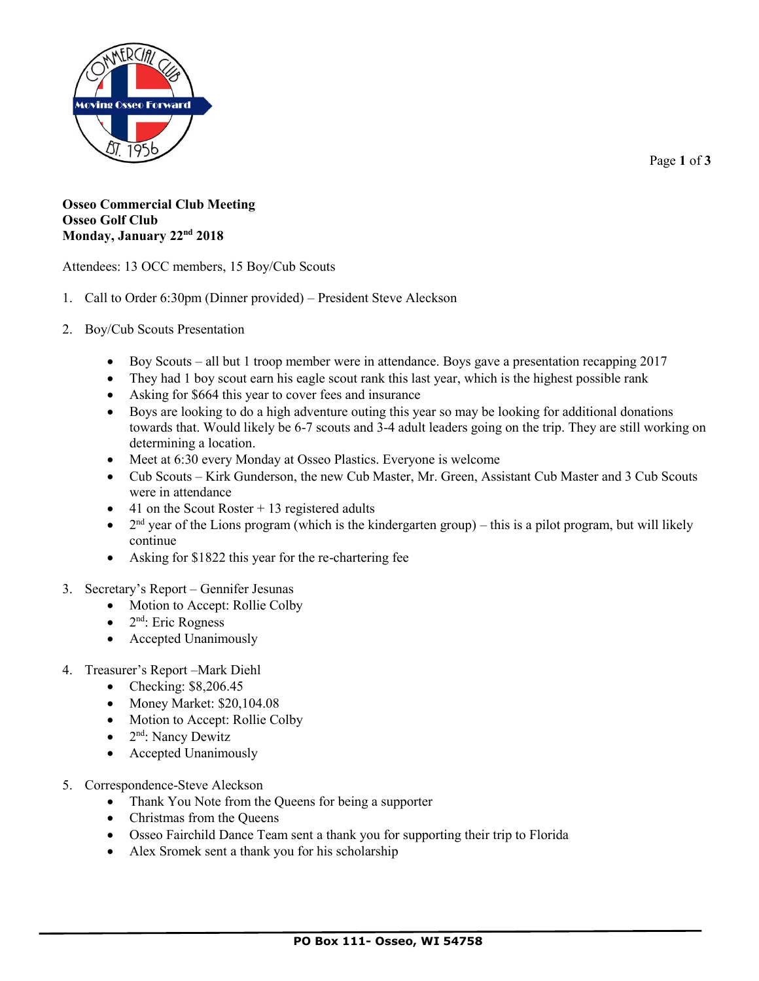

Page **1** of **3**

## **Osseo Commercial Club Meeting Osseo Golf Club Monday, January 22nd 2018**

Attendees: 13 OCC members, 15 Boy/Cub Scouts

- 1. Call to Order 6:30pm (Dinner provided) President Steve Aleckson
- 2. Boy/Cub Scouts Presentation
	- Boy Scouts all but 1 troop member were in attendance. Boys gave a presentation recapping 2017
	- They had 1 boy scout earn his eagle scout rank this last year, which is the highest possible rank
	- Asking for \$664 this year to cover fees and insurance
	- Boys are looking to do a high adventure outing this year so may be looking for additional donations towards that. Would likely be 6-7 scouts and 3-4 adult leaders going on the trip. They are still working on determining a location.
	- Meet at 6:30 every Monday at Osseo Plastics. Everyone is welcome
	- Cub Scouts Kirk Gunderson, the new Cub Master, Mr. Green, Assistant Cub Master and 3 Cub Scouts were in attendance
	- $\bullet$  41 on the Scout Roster + 13 registered adults
	- $\bullet$  2<sup>nd</sup> year of the Lions program (which is the kindergarten group) this is a pilot program, but will likely continue
	- Asking for \$1822 this year for the re-chartering fee
- 3. Secretary's Report Gennifer Jesunas
	- Motion to Accept: Rollie Colby
	- $\bullet$  2<sup>nd</sup>: Eric Rogness
	- Accepted Unanimously
- 4. Treasurer's Report –Mark Diehl
	- Checking:  $$8,206.45$
	- $\bullet$  Money Market: \$20,104.08
	- Motion to Accept: Rollie Colby
	- $\bullet$  2<sup>nd</sup>: Nancy Dewitz
	- Accepted Unanimously
- 5. Correspondence-Steve Aleckson
	- Thank You Note from the Queens for being a supporter
	- Christmas from the Queens
	- Osseo Fairchild Dance Team sent a thank you for supporting their trip to Florida
	- Alex Sromek sent a thank you for his scholarship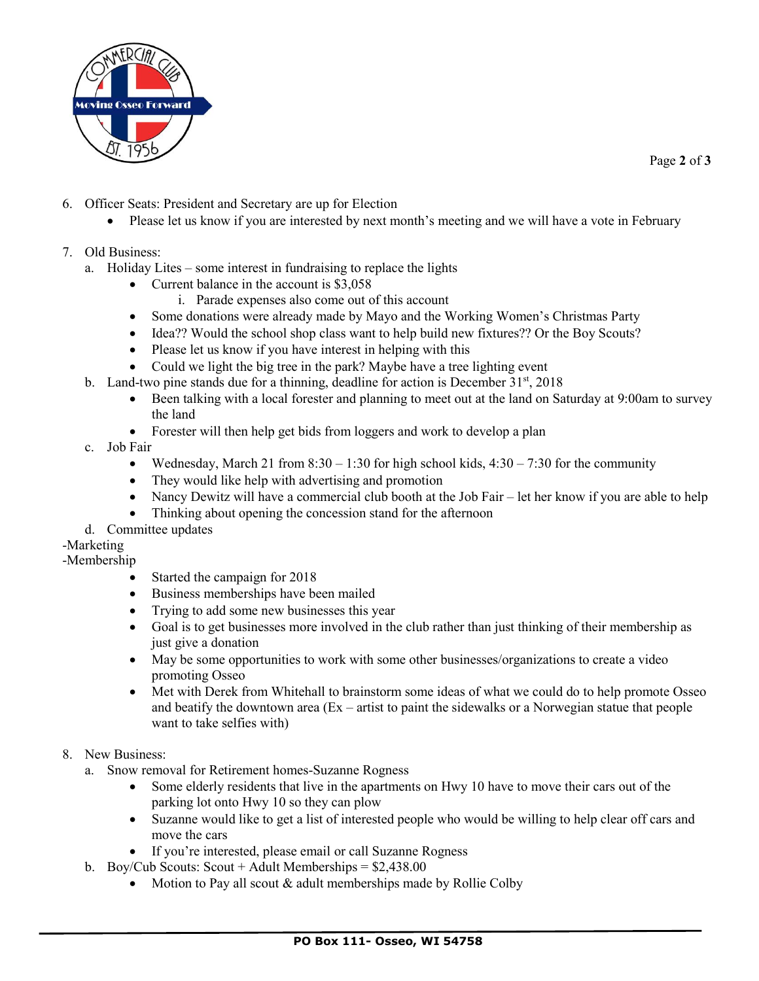

- 6. Officer Seats: President and Secretary are up for Election
	- Please let us know if you are interested by next month's meeting and we will have a vote in February
- 7. Old Business:
	- a. Holiday Lites some interest in fundraising to replace the lights
		- Current balance in the account is \$3,058
			- i. Parade expenses also come out of this account
		- Some donations were already made by Mayo and the Working Women's Christmas Party
		- Idea?? Would the school shop class want to help build new fixtures?? Or the Boy Scouts?
		- Please let us know if you have interest in helping with this
		- Could we light the big tree in the park? Maybe have a tree lighting event
	- b. Land-two pine stands due for a thinning, deadline for action is December  $31<sup>st</sup>$ , 2018
		- Been talking with a local forester and planning to meet out at the land on Saturday at 9:00am to survey the land
		- Forester will then help get bids from loggers and work to develop a plan
	- c. Job Fair
		- Wednesday, March 21 from  $8:30 1:30$  for high school kids,  $4:30 7:30$  for the community
		- They would like help with advertising and promotion
		- Nancy Dewitz will have a commercial club booth at the Job Fair let her know if you are able to help
		- Thinking about opening the concession stand for the afternoon
	- d. Committee updates

## -Marketing

## -Membership

- Started the campaign for 2018
- Business memberships have been mailed
- Trying to add some new businesses this year
- Goal is to get businesses more involved in the club rather than just thinking of their membership as just give a donation
- May be some opportunities to work with some other businesses/organizations to create a video promoting Osseo
- Met with Derek from Whitehall to brainstorm some ideas of what we could do to help promote Osseo and beatify the downtown area  $(Ex - artist to paint the sideways or a Norwegian statue that people)$ want to take selfies with)
- 8. New Business:
	- a. Snow removal for Retirement homes-Suzanne Rogness
		- Some elderly residents that live in the apartments on Hwy 10 have to move their cars out of the parking lot onto Hwy 10 so they can plow
		- Suzanne would like to get a list of interested people who would be willing to help clear off cars and move the cars
		- If you're interested, please email or call Suzanne Rogness
	- b. Boy/Cub Scouts: Scout + Adult Memberships =  $$2,438.00$ 
		- Motion to Pay all scout  $\&$  adult memberships made by Rollie Colby